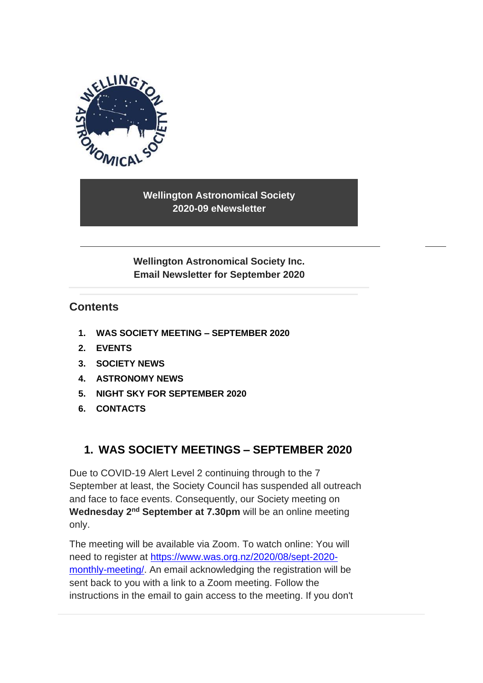

**Wellington Astronomical Society 2020-09 eNewsletter**

**Wellington Astronomical Society Inc. Email Newsletter for September 2020**

## **Contents**

- **1. [WAS SOCIETY MEETING –](#page-0-0) SEPTEMBER 2020**
- **2. [EVENTS](#page-1-0)**
- **3. SOCIETY NEWS**
- **4. [ASTRONOMY NEWS](#page-6-0)**
- **5. [NIGHT SKY FOR](#page-8-0) SEPTEMBER 2020**
- <span id="page-0-0"></span>**6. [CONTACTS](#page-10-0)**

# **1. WAS SOCIETY MEETINGS – SEPTEMBER 2020**

Due to COVID-19 Alert Level 2 continuing through to the 7 September at least, the Society Council has suspended all outreach and face to face events. Consequently, our Society meeting on **Wednesday 2nd September at 7.30pm** will be an online meeting only.

The meeting will be available via Zoom. To watch online: You will need to register at [https://www.was.org.nz/2020/08/sept-2020](https://www.was.org.nz/2020/08/sept-2020-monthly-meeting/) [monthly-meeting/.](https://www.was.org.nz/2020/08/sept-2020-monthly-meeting/) An email acknowledging the registration will be sent back to you with a link to a Zoom meeting. Follow the instructions in the email to gain access to the meeting. If you don't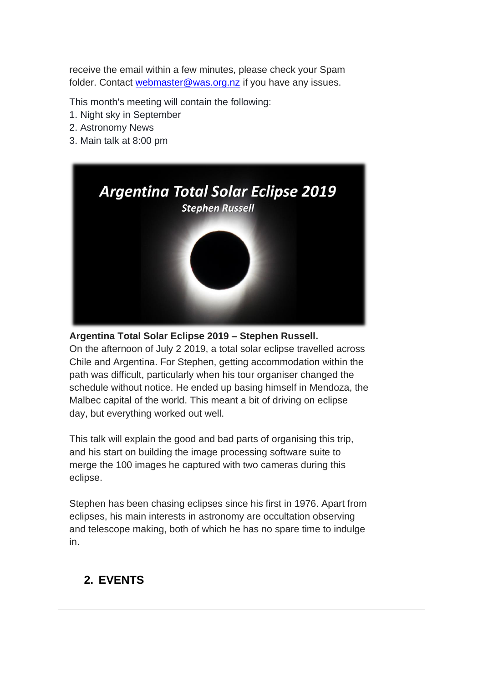receive the email within a few minutes, please check your Spam folder. Contact [webmaster@was.org.nz](mailto:webmaster@was.org.nz) if you have any issues.

This month's meeting will contain the following:

- 1. Night sky in September
- 2. Astronomy News
- 3. Main talk at 8:00 pm



#### **Argentina Total Solar Eclipse 2019 – Stephen Russell.**

On the afternoon of July 2 2019, a total solar eclipse travelled across Chile and Argentina. For Stephen, getting accommodation within the path was difficult, particularly when his tour organiser changed the schedule without notice. He ended up basing himself in Mendoza, the Malbec capital of the world. This meant a bit of driving on eclipse day, but everything worked out well.

This talk will explain the good and bad parts of organising this trip, and his start on building the image processing software suite to merge the 100 images he captured with two cameras during this eclipse.

Stephen has been chasing eclipses since his first in 1976. Apart from eclipses, his main interests in astronomy are occultation observing and telescope making, both of which he has no spare time to indulge in.

# <span id="page-1-0"></span>**2. EVENTS**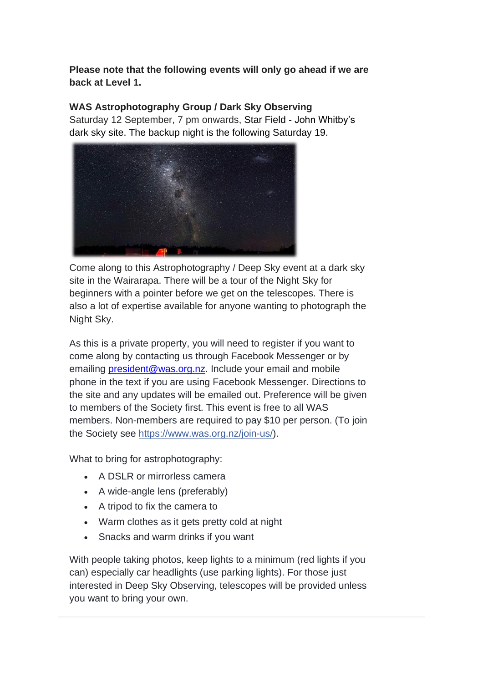**Please note that the following events will only go ahead if we are back at Level 1.**

## **WAS Astrophotography Group / Dark Sky Observing**

Saturday 12 September, 7 pm onwards, Star Field - John Whitby's dark sky site. The backup night is the following Saturday 19.



Come along to this Astrophotography / Deep Sky event at a dark sky site in the Wairarapa. There will be a tour of the Night Sky for beginners with a pointer before we get on the telescopes. There is also a lot of expertise available for anyone wanting to photograph the Night Sky.

As this is a private property, you will need to register if you want to come along by contacting us through Facebook Messenger or by emailing [president@was.org.nz.](mailto:president@was.org.nz) Include your email and mobile phone in the text if you are using Facebook Messenger. Directions to the site and any updates will be emailed out. Preference will be given to members of the Society first. This event is free to all WAS members. Non-members are required to pay \$10 per person. (To join the Society see [https://www.was.org.nz/join-us/\)](https://www.was.org.nz/join-us/?fbclid=IwAR259HJp3obvJriRaZ9gU2RwrDIn5Atwjb_oel1AhmKxBhgeN4O_8oampZg).

What to bring for astrophotography:

- A DSLR or mirrorless camera
- A wide-angle lens (preferably)
- A tripod to fix the camera to
- Warm clothes as it gets pretty cold at night
- Snacks and warm drinks if you want

With people taking photos, keep lights to a minimum (red lights if you can) especially car headlights (use parking lights). For those just interested in Deep Sky Observing, telescopes will be provided unless you want to bring your own.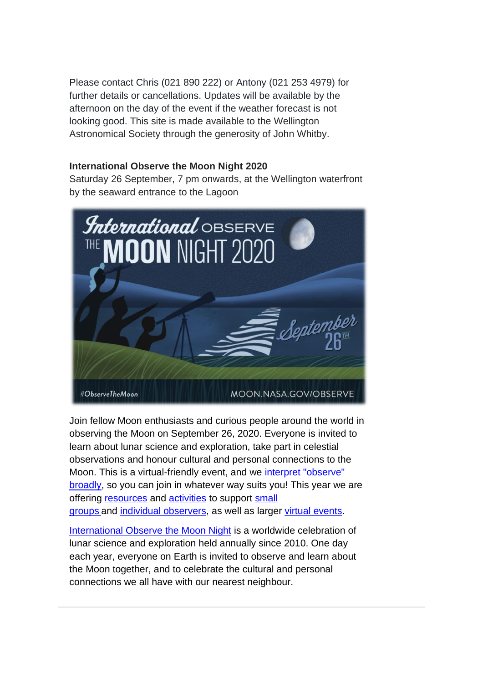Please contact Chris (021 890 222) or Antony (021 253 4979) for further details or cancellations. Updates will be available by the afternoon on the day of the event if the weather forecast is not looking good. This site is made available to the Wellington Astronomical Society through the generosity of John Whitby.

#### **International Observe the Moon Night 2020**

Saturday 26 September, 7 pm onwards, at the Wellington waterfront by the seaward entrance to the Lagoon



Join fellow Moon enthusiasts and curious people around the world in observing the Moon on September 26, 2020. Everyone is invited to learn about lunar science and exploration, take part in celestial observations and honour cultural and personal connections to the Moon. This is a virtual-friendly event, and we interpret "observe" [broadly,](https://observethemoonnight.us16.list-manage.com/track/click?u=33eb274695ba85ae59e54a770&id=b04f513451&e=6cbb83386a) so you can join in whatever way suits you! This year we are offering [resources](https://observethemoonnight.us16.list-manage.com/track/click?u=33eb274695ba85ae59e54a770&id=44acc5b6f5&e=6cbb83386a) and [activities](https://observethemoonnight.us16.list-manage.com/track/click?u=33eb274695ba85ae59e54a770&id=03bad37d61&e=6cbb83386a) to support [small](https://observethemoonnight.us16.list-manage.com/track/click?u=33eb274695ba85ae59e54a770&id=ef8eb6f1a7&e=6cbb83386a)  [groups](https://observethemoonnight.us16.list-manage.com/track/click?u=33eb274695ba85ae59e54a770&id=ef8eb6f1a7&e=6cbb83386a) and [individual observers,](https://observethemoonnight.us16.list-manage.com/track/click?u=33eb274695ba85ae59e54a770&id=5a628f968d&e=6cbb83386a) as well as larger [virtual events.](https://observethemoonnight.us16.list-manage.com/track/click?u=33eb274695ba85ae59e54a770&id=25b17e9142&e=6cbb83386a)

[International Observe](https://moon.nasa.gov/observe-the-moon/annual-event/overview/) the Moon Night is a worldwide celebration of lunar science and exploration held annually since 2010. One day each year, everyone on Earth is invited to observe and learn about the Moon together, and to celebrate the cultural and personal connections we all have with our nearest neighbour.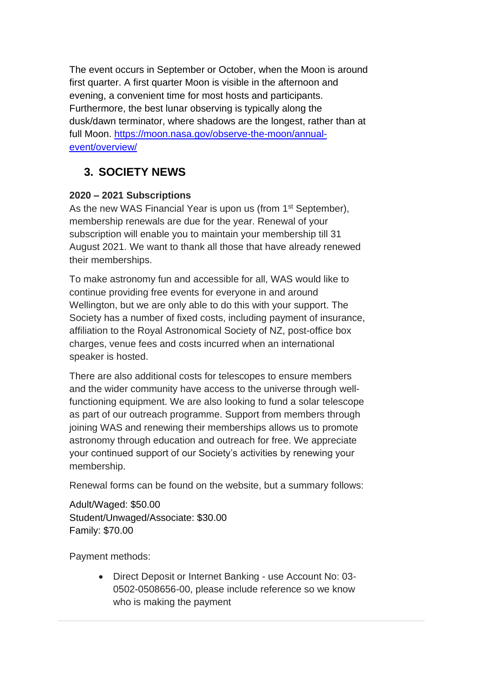The event occurs in September or October, when the Moon is around first quarter. A first quarter Moon is visible in the afternoon and evening, a convenient time for most hosts and participants. Furthermore, the best lunar observing is typically along the dusk/dawn terminator, where shadows are the longest, rather than at full Moon. [https://moon.nasa.gov/observe-the-moon/annual](https://moon.nasa.gov/observe-the-moon/annual-event/overview/)[event/overview/](https://moon.nasa.gov/observe-the-moon/annual-event/overview/)

# **3. SOCIETY NEWS**

## **2020 – 2021 Subscriptions**

As the new WAS Financial Year is upon us (from 1<sup>st</sup> September), membership renewals are due for the year. Renewal of your subscription will enable you to maintain your membership till 31 August 2021. We want to thank all those that have already renewed their memberships.

To make astronomy fun and accessible for all, WAS would like to continue providing free events for everyone in and around Wellington, but we are only able to do this with your support. The Society has a number of fixed costs, including payment of insurance, affiliation to the Royal Astronomical Society of NZ, post-office box charges, venue fees and costs incurred when an international speaker is hosted.

There are also additional costs for telescopes to ensure members and the wider community have access to the universe through wellfunctioning equipment. We are also looking to fund a solar telescope as part of our outreach programme. Support from members through joining WAS and renewing their memberships allows us to promote astronomy through education and outreach for free. We appreciate your continued support of our Society's activities by renewing your membership.

Renewal forms can be found on the website, but a summary follows:

Adult/Waged: \$50.00 Student/Unwaged/Associate: \$30.00 Family: \$70.00

Payment methods:

• Direct Deposit or Internet Banking - use Account No: 03- 0502-0508656-00, please include reference so we know who is making the payment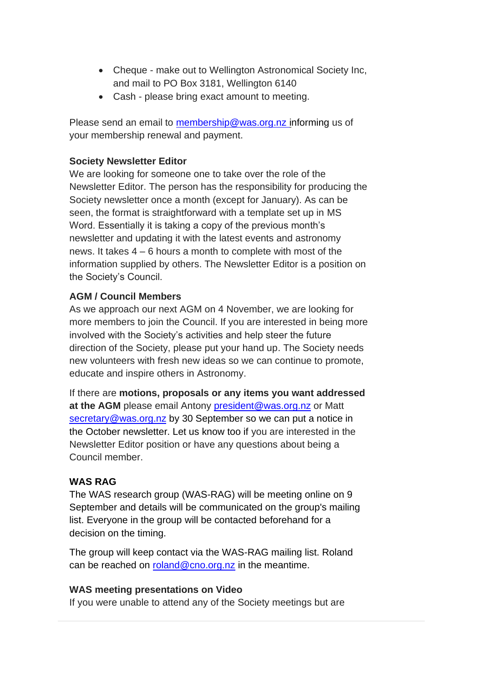- Cheque make out to Wellington Astronomical Society Inc, and mail to PO Box 3181, Wellington 6140
- Cash please bring exact amount to meeting.

Please send an email to [membership@was.org.nz](mailto:membership@was.org.nz) informing us of your membership renewal and payment.

### **Society Newsletter Editor**

We are looking for someone one to take over the role of the Newsletter Editor. The person has the responsibility for producing the Society newsletter once a month (except for January). As can be seen, the format is straightforward with a template set up in MS Word. Essentially it is taking a copy of the previous month's newsletter and updating it with the latest events and astronomy news. It takes 4 – 6 hours a month to complete with most of the information supplied by others. The Newsletter Editor is a position on the Society's Council.

## **AGM / Council Members**

As we approach our next AGM on 4 November, we are looking for more members to join the Council. If you are interested in being more involved with the Society's activities and help steer the future direction of the Society, please put your hand up. The Society needs new volunteers with fresh new ideas so we can continue to promote, educate and inspire others in Astronomy.

If there are **motions, proposals or any items you want addressed**  at the AGM please email Antony [president@was.org.nz](mailto:president@was.org.nz) or Matt [secretary@was.org.nz](mailto:secretary@was.org.nz) by 30 September so we can put a notice in the October newsletter. Let us know too if you are interested in the Newsletter Editor position or have any questions about being a Council member.

## **WAS RAG**

The WAS research group (WAS-RAG) will be meeting online on 9 September and details will be communicated on the group's mailing list. Everyone in the group will be contacted beforehand for a decision on the timing.

The group will keep contact via the WAS-RAG mailing list. Roland can be reached on [roland@cno.org.nz](mailto:roland@cno.org.nz) in the meantime.

#### **WAS meeting presentations on Video**

If you were unable to attend any of the Society meetings but are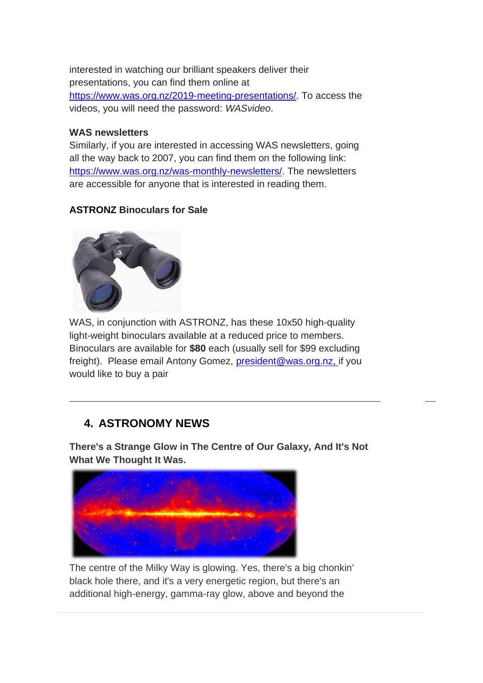interested in watching our brilliant speakers deliver their presentations, you can find them online at [https://www.was.org.nz/2019-meeting-presentations/.](https://www.was.org.nz/2019-meeting-presentations/) To access the videos, you will need the password: *WASvideo*.

#### **WAS newsletters**

Similarly, if you are interested in accessing WAS newsletters, going all the way back to 2007, you can find them on the following link: [https://www.was.org.nz/was-monthly-newsletters/.](https://www.was.org.nz/was-monthly-newsletters/) The newsletters are accessible for anyone that is interested in reading them.

## **ASTRONZ Binoculars for Sale**



WAS, in conjunction with ASTRONZ, has these 10x50 high-quality light-weight binoculars available at a reduced price to members. Binoculars are available for **\$80** each (usually sell for \$99 excluding freight). Please email Antony Gomez, [president@was.org.nz,](mailto:president@was.org.nz) if you would like to buy a pair

# <span id="page-6-0"></span>**4. ASTRONOMY NEWS**

**There's a Strange Glow in The Centre of Our Galaxy, And It's Not What We Thought It Was.**



The centre of the Milky Way is glowing. Yes, there's a big chonkin' black hole there, and it's a very energetic region, but there's an additional high-energy, gamma-ray glow, above and beyond the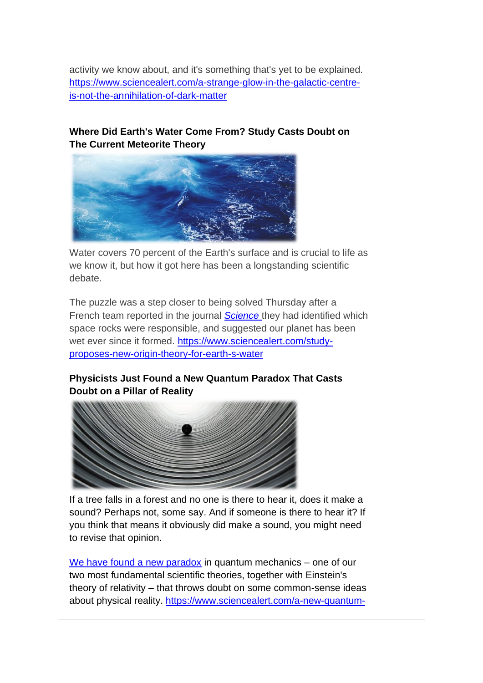activity we know about, and it's something that's yet to be explained. [https://www.sciencealert.com/a-strange-glow-in-the-galactic-centre](https://www.sciencealert.com/a-strange-glow-in-the-galactic-centre-is-not-the-annihilation-of-dark-matter)[is-not-the-annihilation-of-dark-matter](https://www.sciencealert.com/a-strange-glow-in-the-galactic-centre-is-not-the-annihilation-of-dark-matter)

## **Where Did Earth's Water Come From? Study Casts Doubt on The Current Meteorite Theory**



Water covers 70 percent of the Earth's surface and is crucial to life as we know it, but how it got here has been a longstanding scientific debate.

The puzzle was a step closer to being solved Thursday after a French team reported in the journal *[Science](https://science.sciencemag.org/content/369/6507/1110.editor-summary)* they had identified which space rocks were responsible, and suggested our planet has been wet ever since it formed. [https://www.sciencealert.com/study](https://www.sciencealert.com/study-proposes-new-origin-theory-for-earth-s-water)[proposes-new-origin-theory-for-earth-s-water](https://www.sciencealert.com/study-proposes-new-origin-theory-for-earth-s-water)

## **Physicists Just Found a New Quantum Paradox That Casts Doubt on a Pillar of Reality**



If a tree falls in a forest and no one is there to hear it, does it make a sound? Perhaps not, some say. And if someone is there to hear it? If you think that means it obviously did make a sound, you might need to revise that opinion.

[We have found a new paradox](https://www.nature.com/articles/s41567-020-0990-x) in quantum mechanics – one of our two most fundamental scientific theories, together with Einstein's theory of relativity – that throws doubt on some common-sense ideas about physical reality. [https://www.sciencealert.com/a-new-quantum-](https://www.sciencealert.com/a-new-quantum-paradox-throws-the-foundations-of-observed-reality-into-question)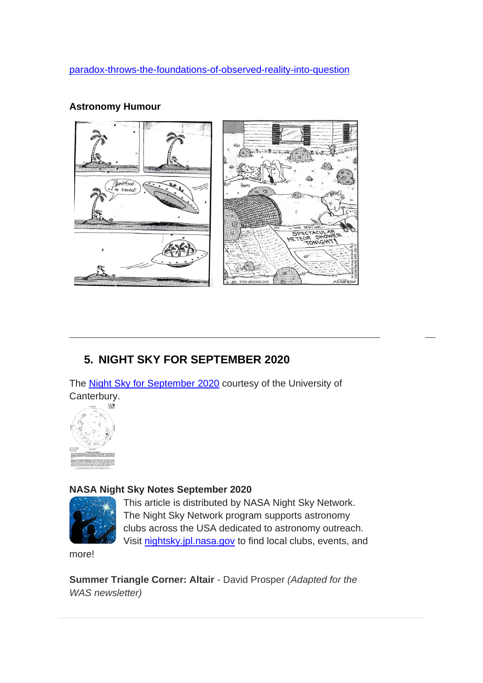[paradox-throws-the-foundations-of-observed-reality-into-question](https://www.sciencealert.com/a-new-quantum-paradox-throws-the-foundations-of-observed-reality-into-question)

# **Astronomy Humour**



# <span id="page-8-0"></span>**5. NIGHT SKY FOR SEPTEMBER 2020**

The [Night Sky for September](https://drive.google.com/file/d/1yXl6gMFvjj8QQmrSE459ealsuj5WOOvm/view?usp=sharing) 2020 courtesy of the University of Canterbury.



#### **NASA Night Sky Notes September 2020**



This article is distributed by NASA Night Sky Network. The Night Sky Network program supports astronomy clubs across the USA dedicated to astronomy outreach. Visit [nightsky.jpl.nasa.gov](https://nightsky.jpl.nasa.gov/) to find local clubs, events, and

more!

**Summer Triangle Corner: Altair** - David Prosper *(Adapted for the WAS newsletter)*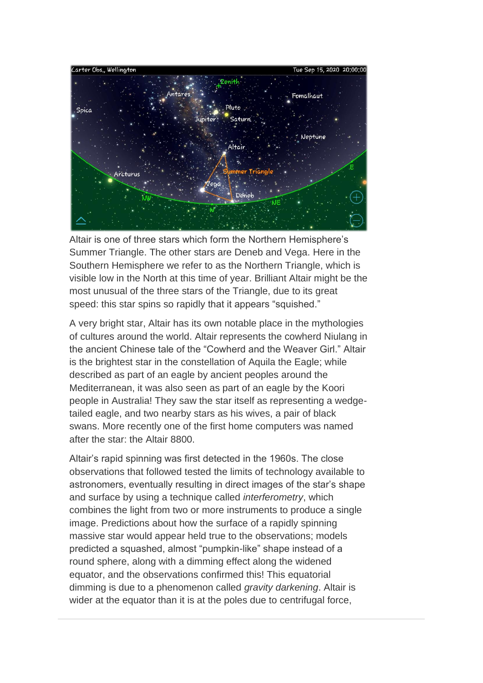

Altair is one of three stars which form the Northern Hemisphere's Summer Triangle. The other stars are Deneb and Vega. Here in the Southern Hemisphere we refer to as the Northern Triangle, which is visible low in the North at this time of year. Brilliant Altair might be the most unusual of the three stars of the Triangle, due to its great speed: this star spins so rapidly that it appears "squished."

A very bright star, Altair has its own notable place in the mythologies of cultures around the world. Altair represents the cowherd Niulang in the ancient Chinese tale of the "Cowherd and the Weaver Girl." Altair is the brightest star in the constellation of Aquila the Eagle; while described as part of an eagle by ancient peoples around the Mediterranean, it was also seen as part of an eagle by the Koori people in Australia! They saw the star itself as representing a wedgetailed eagle, and two nearby stars as his wives, a pair of black swans. More recently one of the first home computers was named after the star: the Altair 8800.

Altair's rapid spinning was first detected in the 1960s. The close observations that followed tested the limits of technology available to astronomers, eventually resulting in direct images of the star's shape and surface by using a technique called *interferometry*, which combines the light from two or more instruments to produce a single image. Predictions about how the surface of a rapidly spinning massive star would appear held true to the observations; models predicted a squashed, almost "pumpkin-like" shape instead of a round sphere, along with a dimming effect along the widened equator, and the observations confirmed this! This equatorial dimming is due to a phenomenon called *gravity darkening*. Altair is wider at the equator than it is at the poles due to centrifugal force,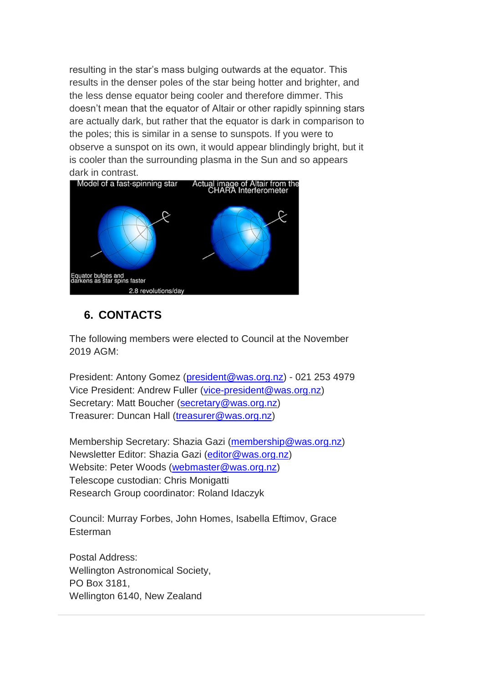resulting in the star's mass bulging outwards at the equator. This results in the denser poles of the star being hotter and brighter, and the less dense equator being cooler and therefore dimmer. This doesn't mean that the equator of Altair or other rapidly spinning stars are actually dark, but rather that the equator is dark in comparison to the poles; this is similar in a sense to sunspots. If you were to observe a sunspot on its own, it would appear blindingly bright, but it is cooler than the surrounding plasma in the Sun and so appears dark in contrast.



# <span id="page-10-0"></span>**6. CONTACTS**

The following members were elected to Council at the November 2019 AGM:

President: Antony Gomez [\(president@was.org.nz\)](mailto:president@was.org.nz) - 021 253 4979 Vice President: Andrew Fuller [\(vice-president@was.org.nz\)](mailto:vice-president@was.org.nz) Secretary: Matt Boucher [\(secretary@was.org.nz\)](mailto:secretary@was.org.nz) Treasurer: Duncan Hall [\(treasurer@was.org.nz\)](mailto:treasurer@was.org.nz)

Membership Secretary: Shazia Gazi [\(membership@was.org.nz\)](mailto:membership@was.org.nz) Newsletter Editor: Shazia Gazi [\(editor@was.org.nz\)](mailto:editor@was.org.nz) Website: Peter Woods [\(webmaster@was.org.nz\)](mailto:webmaster@was.org.nz) Telescope custodian: Chris Monigatti Research Group coordinator: Roland Idaczyk

Council: Murray Forbes, John Homes, Isabella Eftimov, Grace **Esterman** 

Postal Address: Wellington Astronomical Society, PO Box 3181, Wellington 6140, New Zealand